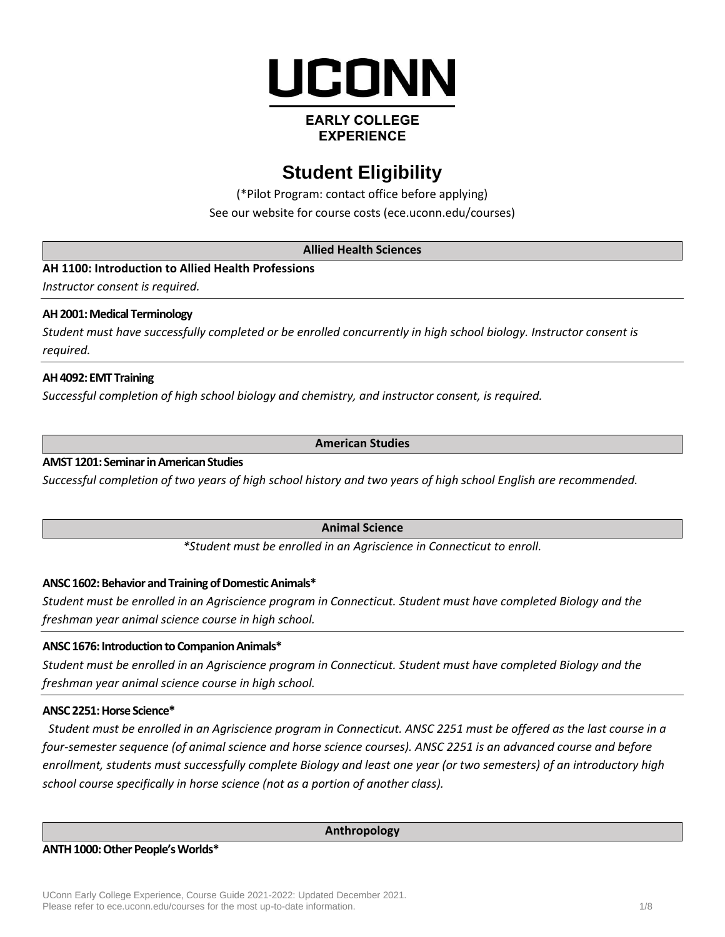

# **EARLY COLLEGE EXPERIENCE**

# **Student Eligibility**

(\*Pilot Program: contact office before applying) See our website for course costs [\(ece.uconn.edu/courses\)](http://www.ece.uconn.edu/courses)

# **Allied Health Sciences**

**AH 1100: Introduction to Allied Health Professions**

*Instructor consent is required.*

# **AH 2001: Medical Terminology**

*Student must have successfully completed or be enrolled concurrently in high school biology. Instructor consent is required.*

# **AH 4092: EMT Training**

*Successful completion of high school biology and chemistry, and instructor consent, is required.*

# **American Studies**

# **AMST 1201: Seminar in American Studies**

*Successful completion of two years of high school history and two years of high school English are recommended.*

# **Animal Science**

*\*Student must be enrolled in an Agriscience in Connecticut to enroll.*

# **ANSC 1602: Behavior and Training of Domestic Animals\***

*Student must be enrolled in an Agriscience program in Connecticut. Student must have completed Biology and the freshman year animal science course in high school.*

# **ANSC 1676: Introduction to Companion Animals\***

*Student must be enrolled in an Agriscience program in Connecticut. Student must have completed Biology and the freshman year animal science course in high school.*

# **ANSC 2251: Horse Science\***

*Student must be enrolled in an Agriscience program in Connecticut. ANSC 2251 must be offered as the last course in a four-semester sequence (of animal science and horse science courses). ANSC 2251 is an advanced course and before enrollment, students must successfully complete Biology and least one year (or two semesters) of an introductory high school course specifically in horse science (not as a portion of another class).*

#### **Anthropology**

#### **ANTH 1000: Other People's Worlds\***

UConn Early College Experience, Course Guide 2021-2022: Updated December 2021. Please refer to ece.uconn.edu/courses for the most up-to-date information. 1/8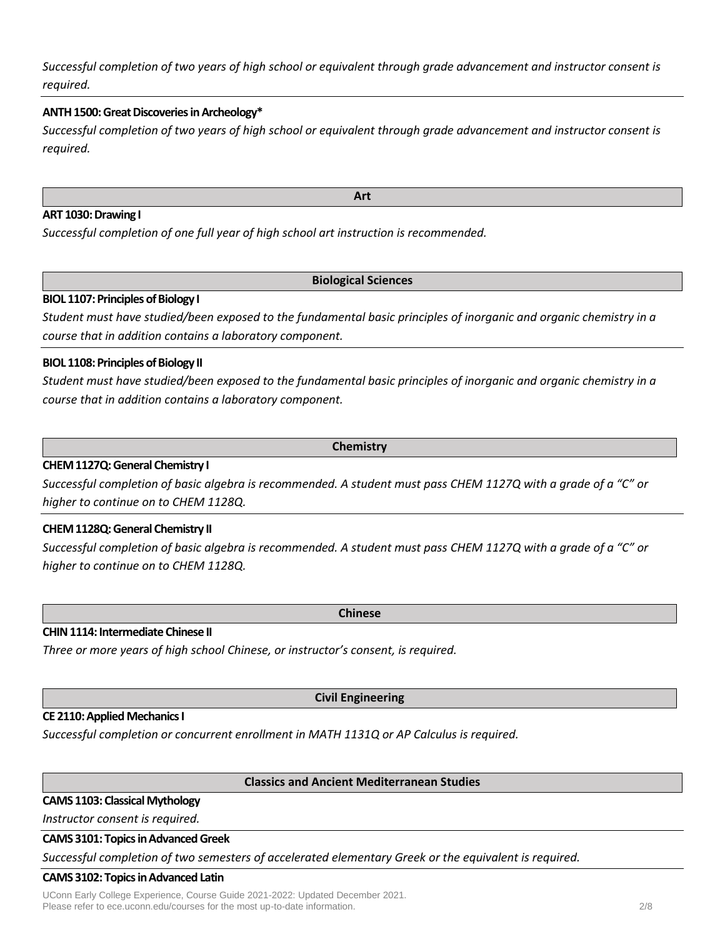*Successful completion of two years of high school or equivalent through grade advancement and instructor consent is required.*

# **ANTH 1500: Great Discoveries in Archeology\***

*Successful completion of two years of high school or equivalent through grade advancement and instructor consent is required.*

### **ART 1030: Drawing I**

*Successful completion of one full year of high school art instruction is recommended.*

#### **Biological Sciences**

# **BIOL 1107: Principles of Biology I**

*Student must have studied/been exposed to the fundamental basic principles of inorganic and organic chemistry in a course that in addition contains a laboratory component.*

# **BIOL 1108: Principles of Biology II**

*Student must have studied/been exposed to the fundamental basic principles of inorganic and organic chemistry in a course that in addition contains a laboratory component.*

**Chemistry**

# **CHEM 1127Q: General Chemistry I**

*Successful completion of basic algebra is recommended. A student must pass CHEM 1127Q with a grade of a "C" or higher to continue on to CHEM 1128Q.*

#### **CHEM 1128Q: General Chemistry II**

*Successful completion of basic algebra is recommended. A student must pass CHEM 1127Q with a grade of a "C" or higher to continue on to CHEM 1128Q.*

#### **CHIN 1114: Intermediate Chinese II**

*Three or more years of high school Chinese, or instructor's consent, is required.*

**Civil Engineering**

#### **CE 2110: Applied Mechanics I**

*Successful completion or concurrent enrollment in MATH 1131Q or AP Calculus is required.*

**Classics and Ancient Mediterranean Studies**

# **CAMS 1103: Classical Mythology**

*Instructor consent is required.*

# **CAMS 3101: Topics in Advanced Greek**

*Successful completion of two semesters of accelerated elementary Greek or the equivalent is required.*

#### **CAMS 3102: Topics in Advanced Latin**

UConn Early College Experience, Course Guide 2021-2022: Updated December 2021. Please refer to ece.uconn.edu/courses for the most up-to-date information. 2/8

**Art**

**Chinese**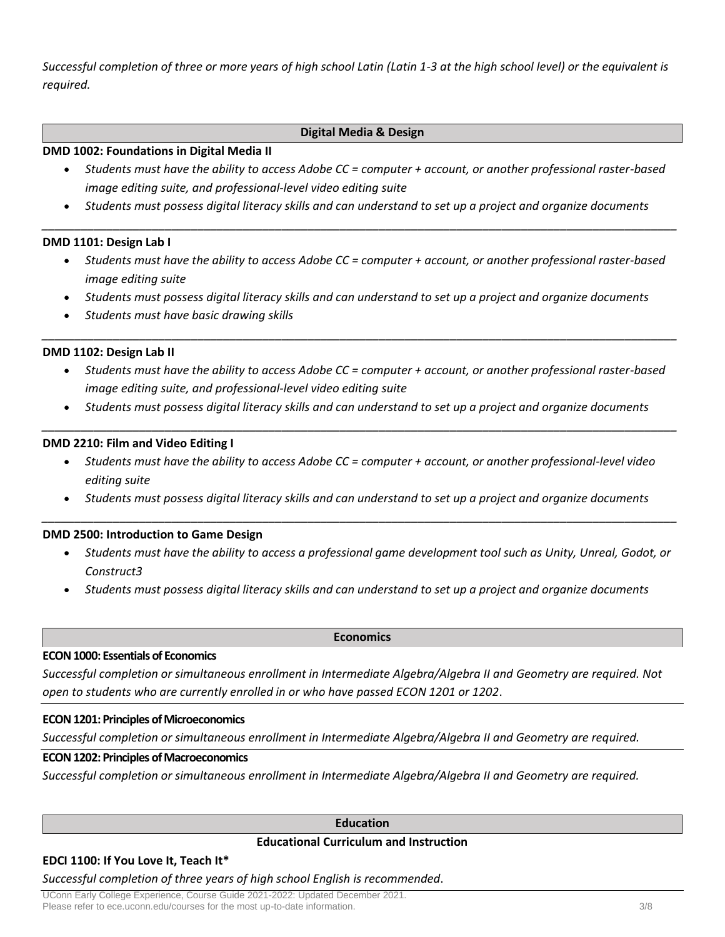*Successful completion of three or more years of high school Latin (Latin 1-3 at the high school level) or the equivalent is required.*

# **Digital Media & Design**

### **DMD 1002: Foundations in Digital Media II**

- *Students must have the ability to access Adobe CC = computer + account, or another professional raster-based image editing suite, and professional-level video editing suite*
- *Students must possess digital literacy skills and can understand to set up a project and organize documents \_\_\_\_\_\_\_\_\_\_\_\_\_\_\_\_\_\_\_\_\_\_\_\_\_\_\_\_\_\_\_\_\_\_\_\_\_\_\_\_\_\_\_\_\_\_\_\_\_\_\_\_\_\_\_\_\_\_\_\_\_\_\_\_\_\_\_\_\_\_\_\_\_\_\_\_\_\_\_\_\_\_\_\_\_\_\_\_\_\_\_\_\_\_\_\_\_\_*

# **DMD 1101: Design Lab I**

- *Students must have the ability to access Adobe CC = computer + account, or another professional raster-based image editing suite*
- *Students must possess digital literacy skills and can understand to set up a project and organize documents*

*\_\_\_\_\_\_\_\_\_\_\_\_\_\_\_\_\_\_\_\_\_\_\_\_\_\_\_\_\_\_\_\_\_\_\_\_\_\_\_\_\_\_\_\_\_\_\_\_\_\_\_\_\_\_\_\_\_\_\_\_\_\_\_\_\_\_\_\_\_\_\_\_\_\_\_\_\_\_\_\_\_\_\_\_\_\_\_\_\_\_\_\_\_\_\_\_\_\_*

• *Students must have basic drawing skills*

# **DMD 1102: Design Lab II**

- *Students must have the ability to access Adobe CC = computer + account, or another professional raster-based image editing suite, and professional-level video editing suite*
- *Students must possess digital literacy skills and can understand to set up a project and organize documents \_\_\_\_\_\_\_\_\_\_\_\_\_\_\_\_\_\_\_\_\_\_\_\_\_\_\_\_\_\_\_\_\_\_\_\_\_\_\_\_\_\_\_\_\_\_\_\_\_\_\_\_\_\_\_\_\_\_\_\_\_\_\_\_\_\_\_\_\_\_\_\_\_\_\_\_\_\_\_\_\_\_\_\_\_\_\_\_\_\_\_\_\_\_\_\_\_\_*

# **DMD 2210: Film and Video Editing I**

- *Students must have the ability to access Adobe CC = computer + account, or another professional-level video editing suite*
- *Students must possess digital literacy skills and can understand to set up a project and organize documents \_\_\_\_\_\_\_\_\_\_\_\_\_\_\_\_\_\_\_\_\_\_\_\_\_\_\_\_\_\_\_\_\_\_\_\_\_\_\_\_\_\_\_\_\_\_\_\_\_\_\_\_\_\_\_\_\_\_\_\_\_\_\_\_\_\_\_\_\_\_\_\_\_\_\_\_\_\_\_\_\_\_\_\_\_\_\_\_\_\_\_\_\_\_\_\_\_\_*

#### **DMD 2500: Introduction to Game Design**

- *Students must have the ability to access a professional game development tool such as Unity, Unreal, Godot, or Construct3*
- *Students must possess digital literacy skills and can understand to set up a project and organize documents*

# **Economics**

#### **ECON 1000: Essentials of Economics**

*Successful completion or simultaneous enrollment in Intermediate Algebra/Algebra II and Geometry are required. Not open to students who are currently enrolled in or who have passed ECON 1201 or 1202*.

#### **ECON 1201: Principles of Microeconomics**

*Successful completion or simultaneous enrollment in Intermediate Algebra/Algebra II and Geometry are required.*

# **ECON 1202: Principles of Macroeconomics**

*Successful completion or simultaneous enrollment in Intermediate Algebra/Algebra II and Geometry are required.*

# **Education**

#### **Educational Curriculum and Instruction**

# **EDCI 1100: If You Love It, Teach It\***

*Successful completion of three years of high school English is recommended*.

UConn Early College Experience, Course Guide 2021-2022: Updated December 2021. Please refer to ece.uconn.edu/courses for the most up-to-date information. 3/8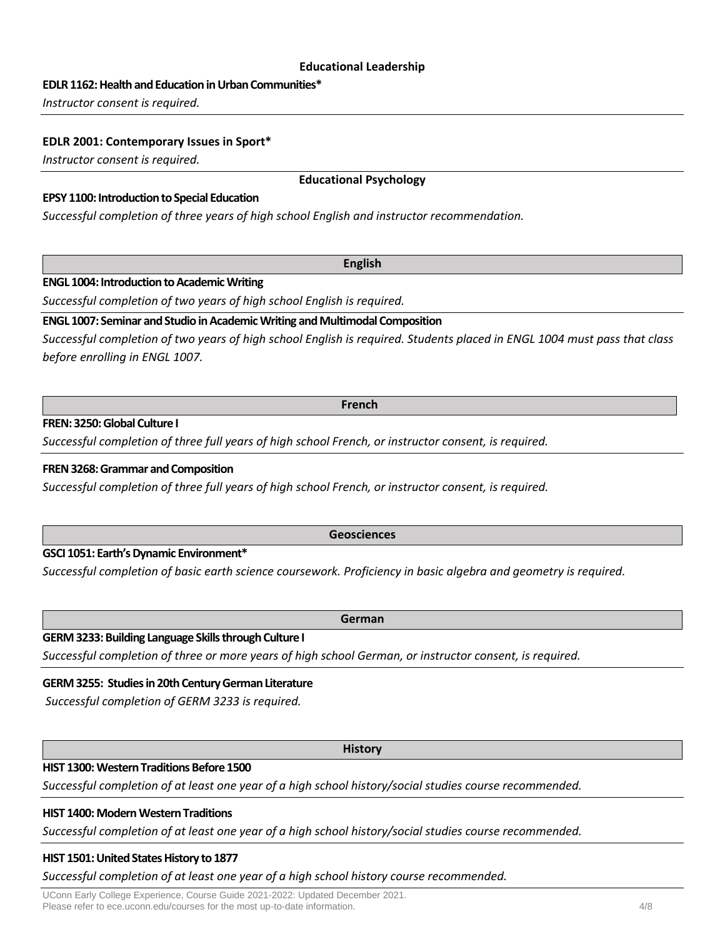### **Educational Leadership**

**EDLR 1162: Health and Education in Urban Communities\***

*Instructor consent is required.*

### **EDLR 2001: Contemporary Issues in Sport\***

*Instructor consent is required.*

# **EPSY 1100: Introduction to Special Education**

*Successful completion of three years of high school English and instructor recommendation.*

# **ENGL 1004: Introduction to Academic Writing**

*Successful completion of two years of high school English is required.*

# **ENGL 1007: Seminar and Studio in Academic Writing and Multimodal Composition**

*Successful completion of two years of high school English is required. Students placed in ENGL 1004 must pass that class before enrolling in ENGL 1007.*

#### **French**

# **FREN: 3250:Global Culture I**

*Successful completion of three full years of high school French, or instructor consent, is required.*

# **FREN 3268: Grammar and Composition**

*Successful completion of three full years of high school French, or instructor consent, is required.*

#### **Geosciences**

# **GSCI 1051: Earth's Dynamic Environment\***

*Successful completion of basic earth science coursework. Proficiency in basic algebra and geometry is required.*

# **GERM3233: Building Language Skills through Culture I**

*Successful completion of three or more years of high school German, or instructor consent, is required.*

# **GERM 3255: Studies in 20th Century German Literature**

*Successful completion of GERM 3233 is required.*

#### **History**

# **HIST 1300: Western Traditions Before 1500**

*Successful completion of at least one year of a high school history/social studies course recommended.*

# **HIST 1400: Modern Western Traditions**

*Successful completion of at least one year of a high school history/social studies course recommended.*

# **HIST 1501: United States History to 1877**

*Successful completion of at least one year of a high school history course recommended.*

UConn Early College Experience, Course Guide 2021-2022: Updated December 2021. Please refer to ece.uconn.edu/courses for the most up-to-date information. 4/8

# **German**

# **English**

**Educational Psychology**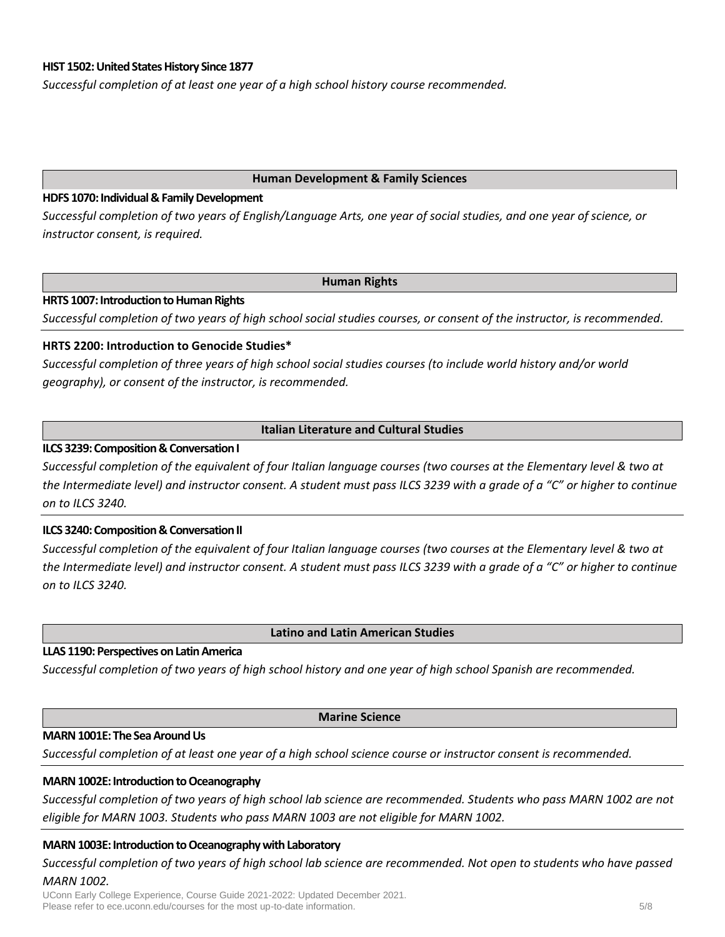# **HIST 1502: United States History Since 1877**

*Successful completion of at least one year of a high school history course recommended.*

#### **Human Development & Family Sciences**

# **HDFS 1070: Individual & Family Development**

*Successful completion of two years of English/Language Arts, one year of social studies, and one year of science, or instructor consent, is required.*

#### **Human Rights**

# **HRTS 1007: Introduction to Human Rights**

*Successful completion of two years of high school social studies courses, or consent of the instructor, is recommended.*

# **HRTS 2200: Introduction to Genocide Studies\***

*Successful completion of three years of high school social studies courses (to include world history and/or world geography), or consent of the instructor, is recommended.*

# **Italian Literature and Cultural Studies**

# **ILCS 3239: Composition & Conversation I**

*Successful completion of the equivalent of four Italian language courses (two courses at the Elementary level & two at the Intermediate level) and instructor consent. A student must pass ILCS 3239 with a grade of a "C" or higher to continue on to ILCS 3240.*

# **ILCS 3240: Composition & Conversation II**

*Successful completion of the equivalent of four Italian language courses (two courses at the Elementary level & two at the Intermediate level) and instructor consent. A student must pass ILCS 3239 with a grade of a "C" or higher to continue on to ILCS 3240.*

**Latino and Latin American Studies**

#### **LLAS 1190: Perspectives on Latin America**

*Successful completion of two years of high school history and one year of high school Spanish are recommended.*

#### **Marine Science**

#### **MARN 1001E: The Sea Around Us**

*Successful completion of at least one year of a high school science course or instructor consent is recommended.*

# **MARN 1002E: Introduction to Oceanography**

*Successful completion of two years of high school lab science are recommended. Students who pass MARN 1002 are not eligible for MARN 1003. Students who pass MARN 1003 are not eligible for MARN 1002.*

#### **MARN 1003E: Introduction to Oceanography with Laboratory**

*Successful completion of two years of high school lab science are recommended. Not open to students who have passed MARN 1002.*

UConn Early College Experience, Course Guide 2021-2022: Updated December 2021. Please refer to ece.uconn.edu/courses for the most up-to-date information.  $5/8$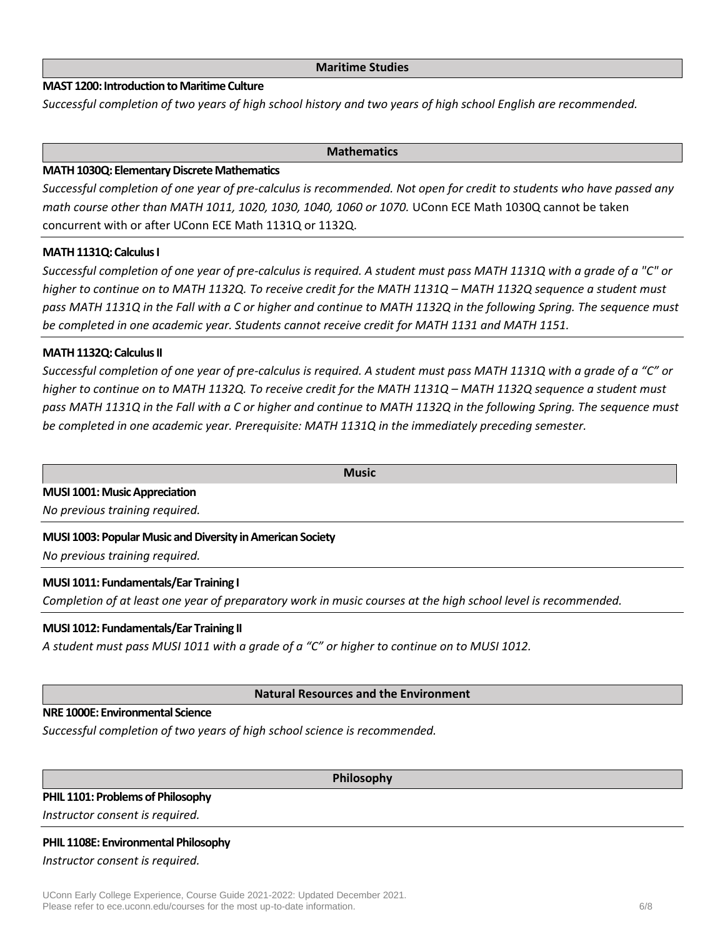# **MAST 1200: Introduction to Maritime Culture**

*Successful completion of two years of high school history and two years of high school English are recommended.*

### **Mathematics**

# **MATH 1030Q: Elementary Discrete Mathematics**

*Successful completion of one year of pre-calculus is recommended. Not open for credit to students who have passed any math course other than MATH 1011, 1020, 1030, 1040, 1060 or 1070.* UConn ECE Math 1030Q cannot be taken concurrent with or after UConn ECE Math 1131Q or 1132Q.

# **MATH 1131Q: Calculus I**

*Successful completion of one year of pre-calculus is required. A student must pass MATH 1131Q with a grade of a "C" or higher to continue on to MATH 1132Q. To receive credit for the MATH 1131Q – MATH 1132Q sequence a student must pass MATH 1131Q in the Fall with a C or higher and continue to MATH 1132Q in the following Spring. The sequence must be completed in one academic year. Students cannot receive credit for MATH 1131 and MATH 1151.*

# **MATH 1132Q: Calculus II**

*Successful completion of one year of pre-calculus is required. A student must pass MATH 1131Q with a grade of a "C" or higher to continue on to MATH 1132Q. To receive credit for the MATH 1131Q – MATH 1132Q sequence a student must pass MATH 1131Q in the Fall with a C or higher and continue to MATH 1132Q in the following Spring. The sequence must be completed in one academic year. Prerequisite: MATH 1131Q in the immediately preceding semester.*

**Music**

# **MUSI 1001: Music Appreciation**

*No previous training required.*

# **MUSI 1003: Popular Music and Diversity in American Society**

*No previous training required.*

# **MUSI 1011: Fundamentals/Ear Training I**

*Completion of at least one year of preparatory work in music courses at the high school level is recommended.*

# **MUSI 1012: Fundamentals/Ear Training II**

*A student must pass MUSI 1011 with a grade of a "C" or higher to continue on to MUSI 1012.*

# **Natural Resources and the Environment**

# **NRE 1000E: Environmental Science**

*Successful completion of two years of high school science is recommended.*

**Philosophy**

# **PHIL 1101: Problems of Philosophy**

*Instructor consent is required.*

# **PHIL 1108E: Environmental Philosophy**

#### *Instructor consent is required.*

UConn Early College Experience, Course Guide 2021-2022: Updated December 2021. Please refer to ece.uconn.edu/courses for the most up-to-date information. 6/8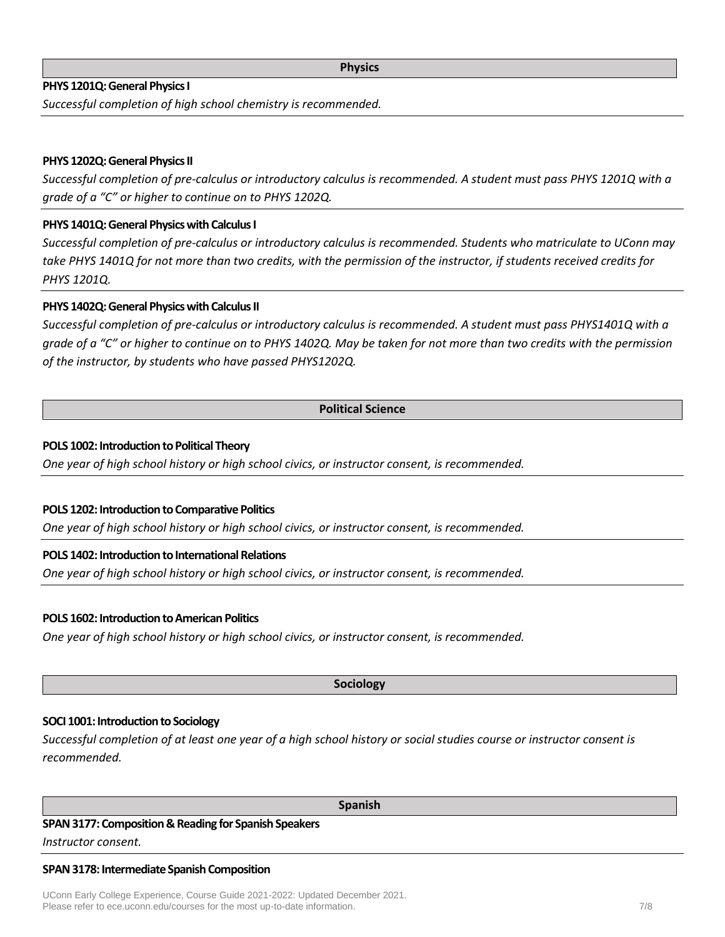# **PHYS 1201Q: General Physics I**

*Successful completion of high school chemistry is recommended.*

# **PHYS 1202Q: General Physics II**

*Successful completion of pre-calculus or introductory calculus is recommended. A student must pass PHYS 1201Q with a grade of a "C" or higher to continue on to PHYS 1202Q.*

### **PHYS 1401Q: General Physics with Calculus I**

*Successful completion of pre-calculus or introductory calculus is recommended. Students who matriculate to UConn may take PHYS 1401Q for not more than two credits, with the permission of the instructor, if students received credits for PHYS 1201Q.*

# **PHYS 1402Q:General Physics with Calculus II**

*Successful completion of pre-calculus or introductory calculus is recommended. A student must pass PHYS1401Q with a grade of a "C" or higher to continue on to PHYS 1402Q. May be taken for not more than two credits with the permission of the instructor, by students who have passed PHYS1202Q.*

#### **Political Science**

#### **POLS 1002: Introduction to Political Theory**

*One year of high school history or high school civics, or instructor consent, is recommended.*

#### **POLS 1202: Introduction to Comparative Politics**

*One year of high school history or high school civics, or instructor consent, is recommended.*

### **POLS 1402: Introduction to International Relations**

*One year of high school history or high school civics, or instructor consent, is recommended.*

#### **POLS 1602: Introduction to American Politics**

*One year of high school history or high school civics, or instructor consent, is recommended.*

**Sociology**

# **SOCI 1001: Introduction to Sociology**

*Successful completion of at least one year of a high school history or social studies course or instructor consent is recommended.*

#### **Spanish**

#### **SPAN 3177: Composition & Reading for Spanish Speakers**

*Instructor consent.*

#### **SPAN 3178: Intermediate Spanish Composition**

UConn Early College Experience, Course Guide 2021-2022: Updated December 2021. Please refer to ece.uconn.edu/courses for the most up-to-date information. The most up-to-date information.